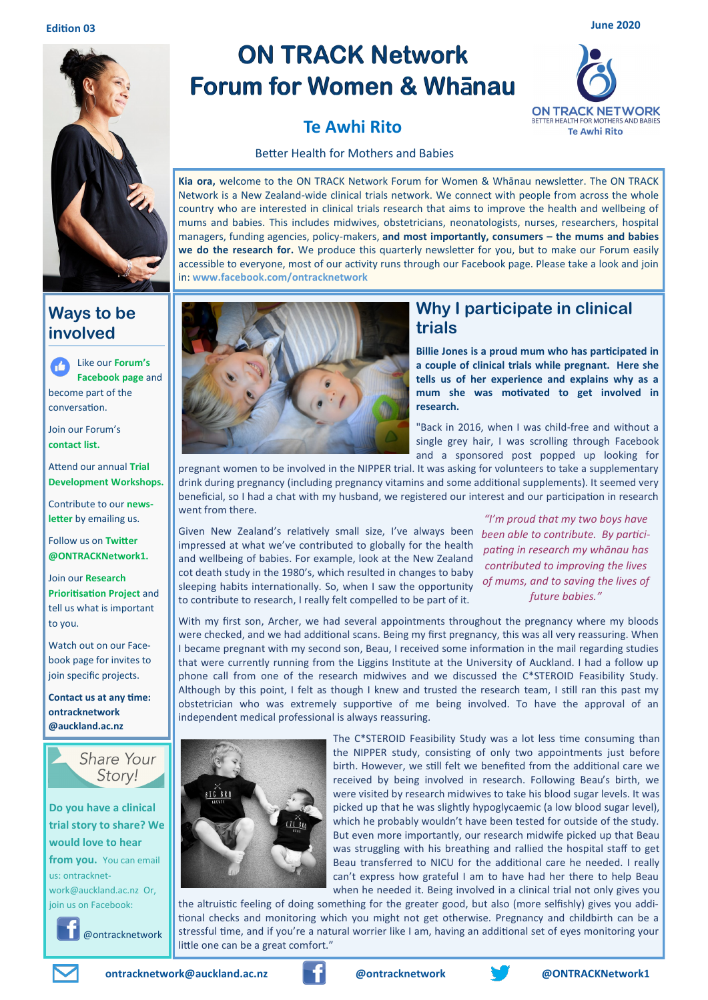

### **Ways to be involved**

Like our **Forum's**   $\mathbf{H}$ **Facebook page** and become part of the conversation.

Join our Forum's **contact list.**

Attend our annual **Trial Development Workshops.**

Contribute to our **newsletter** by emailing us.

Follow us on **Twitter @ONTRACKNetwork1.**

Join our **Research Prioritisation Project** and tell us what is important to you.

Watch out on our Facebook page for invites to join specific projects.

**Contact us at any time: ontracknetwork @auckland.ac.nz**



#### **Do you have a clinical trial story to share? We would love to hear**

**from you.** You can email us: ontracknetwork@auckland.ac.nz Or, join us on Facebook:

@ontracknetwork

# **ON TRACK Network Forum for Women & Whanau**

# **Te Awhi Rito**



Better Health for Mothers and Babies

**Kia ora,** welcome to the ON TRACK Network Forum for Women & Whānau newsletter. The ON TRACK Network is a New Zealand-wide clinical trials network. We connect with people from across the whole country who are interested in clinical trials research that aims to improve the health and wellbeing of mums and babies. This includes midwives, obstetricians, neonatologists, nurses, researchers, hospital managers, funding agencies, policy-makers, **and most importantly, consumers – the mums and babies we do the research for.** We produce this quarterly newsletter for you, but to make our Forum easily accessible to everyone, most of our activity runs through our Facebook page. Please take a look and join in: **www.facebook.com/ontracknetwork**



### **Why I participate in clinical trials**

**Billie Jones is a proud mum who has participated in a couple of clinical trials while pregnant. Here she tells us of her experience and explains why as a mum she was motivated to get involved in research.** 

"Back in 2016, when I was child-free and without a single grey hair, I was scrolling through Facebook and a sponsored post popped up looking for

pregnant women to be involved in the NIPPER trial. It was asking for volunteers to take a supplementary drink during pregnancy (including pregnancy vitamins and some additional supplements). It seemed very beneficial, so I had a chat with my husband, we registered our interest and our participation in research went from there.

Given New Zealand's relatively small size, I've always been impressed at what we've contributed to globally for the health and wellbeing of babies. For example, look at the New Zealand cot death study in the 1980's, which resulted in changes to baby sleeping habits internationally. So, when I saw the opportunity to contribute to research, I really felt compelled to be part of it.

*"I'm proud that my two boys have been able to contribute. By participating in research my whānau has contributed to improving the lives of mums, and to saving the lives of future babies."*

With my first son, Archer, we had several appointments throughout the pregnancy where my bloods were checked, and we had additional scans. Being my first pregnancy, this was all very reassuring. When I became pregnant with my second son, Beau, I received some information in the mail regarding studies that were currently running from the Liggins Institute at the University of Auckland. I had a follow up phone call from one of the research midwives and we discussed the C\*STEROID Feasibility Study. Although by this point, I felt as though I knew and trusted the research team, I still ran this past my obstetrician who was extremely supportive of me being involved. To have the approval of an independent medical professional is always reassuring.



The C\*STEROID Feasibility Study was a lot less time consuming than the NIPPER study, consisting of only two appointments just before birth. However, we still felt we benefited from the additional care we received by being involved in research. Following Beau's birth, we were visited by research midwives to take his blood sugar levels. It was picked up that he was slightly hypoglycaemic (a low blood sugar level), which he probably wouldn't have been tested for outside of the study. But even more importantly, our research midwife picked up that Beau was struggling with his breathing and rallied the hospital staff to get Beau transferred to NICU for the additional care he needed. I really can't express how grateful I am to have had her there to help Beau when he needed it. Being involved in a clinical trial not only gives you

the altruistic feeling of doing something for the greater good, but also (more selfishly) gives you additional checks and monitoring which you might not get otherwise. Pregnancy and childbirth can be a stressful time, and if you're a natural worrier like I am, having an additional set of eyes monitoring your little one can be a great comfort."